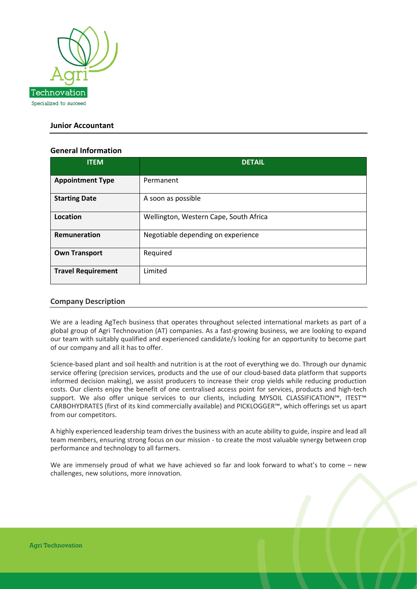

# **Junior Accountant**

## **General Information**

| <b>ITEM</b>               | <b>DETAIL</b>                          |
|---------------------------|----------------------------------------|
| <b>Appointment Type</b>   | Permanent                              |
| <b>Starting Date</b>      | A soon as possible                     |
| Location                  | Wellington, Western Cape, South Africa |
| Remuneration              | Negotiable depending on experience     |
| <b>Own Transport</b>      | Required                               |
| <b>Travel Requirement</b> | Limited                                |

## **Company Description**

We are a leading AgTech business that operates throughout selected international markets as part of a global group of Agri Technovation (AT) companies. As a fast-growing business, we are looking to expand our team with suitably qualified and experienced candidate/s looking for an opportunity to become part of our company and all it has to offer.

Science-based plant and soil health and nutrition is at the root of everything we do. Through our dynamic service offering (precision services, products and the use of our cloud-based data platform that supports informed decision making), we assist producers to increase their crop yields while reducing production costs. Our clients enjoy the benefit of one centralised access point for services, products and high-tech support. We also offer unique services to our clients, including MYSOIL CLASSIFICATION™, ITEST™ CARBOHYDRATES (first of its kind commercially available) and PICKLOGGER™, which offerings set us apart from our competitors.

A highly experienced leadership team drives the business with an acute ability to guide, inspire and lead all team members, ensuring strong focus on our mission - to create the most valuable synergy between crop performance and technology to all farmers.

We are immensely proud of what we have achieved so far and look forward to what's to come – new challenges, new solutions, more innovation.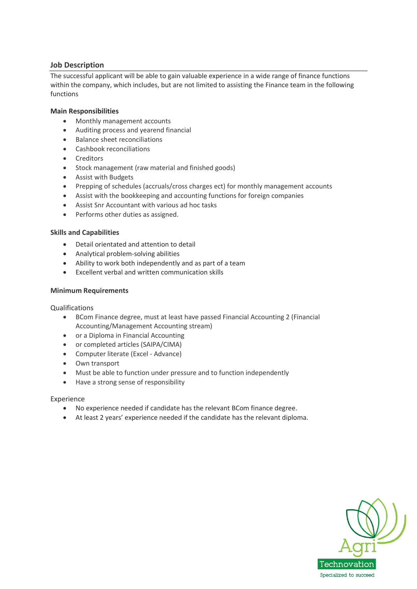# **Job Description**

The successful applicant will be able to gain valuable experience in a wide range of finance functions within the company, which includes, but are not limited to assisting the Finance team in the following functions

### **Main Responsibilities**

- Monthly management accounts
- Auditing process and yearend financial
- Balance sheet reconciliations
- Cashbook reconciliations
- Creditors
- Stock management (raw material and finished goods)
- Assist with Budgets
- Prepping of schedules (accruals/cross charges ect) for monthly management accounts
- Assist with the bookkeeping and accounting functions for foreign companies
- Assist Snr Accountant with various ad hoc tasks
- Performs other duties as assigned.

#### **Skills and Capabilities**

- Detail orientated and attention to detail
- Analytical problem-solving abilities
- Ability to work both independently and as part of a team
- Excellent verbal and written communication skills

#### **Minimum Requirements**

Qualifications

- BCom Finance degree, must at least have passed Financial Accounting 2 (Financial Accounting/Management Accounting stream)
- or a Diploma in Financial Accounting
- or completed articles (SAIPA/CIMA)
- Computer literate (Excel Advance)
- Own transport
- Must be able to function under pressure and to function independently
- Have a strong sense of responsibility

#### Experience

- No experience needed if candidate has the relevant BCom finance degree.
- At least 2 years' experience needed if the candidate has the relevant diploma.